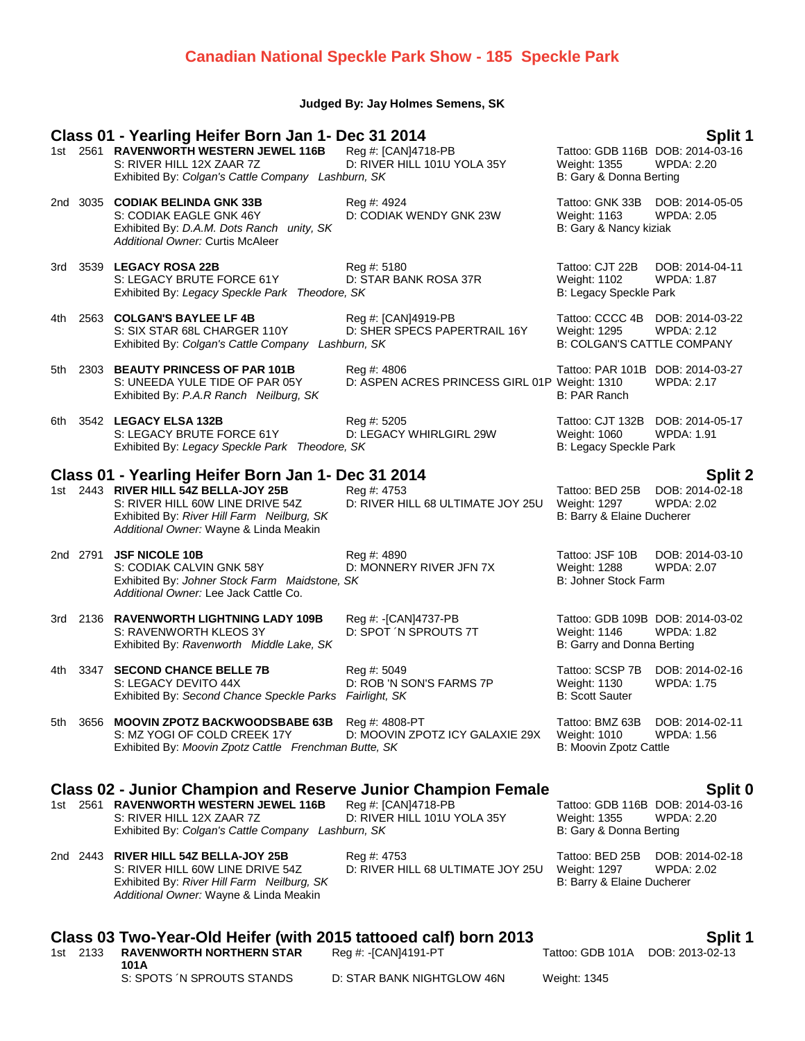## **Canadian National Speckle Park Show - 185 Speckle Park**

### **Judged By: Jay Holmes Semens, SK**

### **Class 01 - Yearling Heifer Born Jan 1- Dec 31 2014 Split 1 Split 1 Split 1 Split 1 Split 1 Split 1 Split 1 Split 1 Split 1 Split 1 Split 1 Split 1 Split 1 Split 1 Split 1 Split 1 Split 1** 1st 2561 **RAVENWORTH WESTERN JEWEL 116B** Reg #: [CAN]4718-PB Tattoo: GDB 116B DOB: 2014-03-16B S: RIVER HILL 12X ZAAR 7Z D: RIVER HILL 101U YOLA 35Y Weight: 1355 WPDA: 2.20 S: RIVER HILL 12X ZAAR 7Z D: RIVER HILL 101U YOLA 35Y Weight: 1355 Exhibited By: *Colgan's Cattle Company Lashburn, SK* B: Gary & Donna Berting 2nd 3035 **CODIAK BELINDA GNK 33B** Reg #: 4924 Tattoo: GNK 33B DOB: 2014-05-05 S: CODIAK EAGLE GNK 46Y D: CODIAK WENDY GNK 23W Weight: 1163 WPDA: 2.05 Exhibited By: *D.A.M. Dots Ranch unity, SK* B: Gary & Nancy kiziak *Additional Owner:* Curtis McAleer 3rd 3539 **LEGACY ROSA 22B** Reg #: 5180 Tattoo: CJT 22B DOB: 2014-04-11 S: LEGACY BRUTE FORCE 61Y D: STAR BANK ROSA 37R Weight: 1102 WPDA: 1.87<br>Exhibited By: Legacy Speckle Park Theodore, SK B: Legacy Speckle Park Exhibited By: Legacy Speckle Park Theodore, SK 4th 2563 **COLGAN'S BAYLEE LF 4B** Reg #: [CAN]4919-PB Tattoo: CCCC 4B DOB: 2014-03-22<br>S: SIX STAR 68L CHARGER 110Y D: SHER SPECS PAPERTRAIL 16Y Weight: 1295 WPDA: 2.12 D: SHER SPECS PAPERTRAIL 16Y Weight: 1295 WPDA: 2.12<br>burn. SK B: COLGAN'S CATTLE COMPANY Exhibited By: Colgan's Cattle Company Lashburn, SK 5th 2303 **BEAUTY PRINCESS OF PAR 101B** Reg #: 4806 Tattoo: PAR 101B DOB: 2014-03-27<br>S: UNEEDA YULE TIDE OF PAR 05Y D: ASPEN ACRES PRINCESS GIRL 01P Weight: 1310 WPDA: 2.17 D: ASPEN ACRES PRINCESS GIRL 01P Exhibited By: *P.A.R Ranch Neilburg, SK* B: PAR Ranch 6th 3542 **LEGACY ELSA 132B** Reg #: 5205 Reg #: 5205 Tattoo: CJT 132B DOB: 2014-05-17<br>S: LEGACY BRUTE FORCE 61Y D: LEGACY WHIRLGIRL 29W Weight: 1060 WPDA: 1.91 S: LEGACY BRUTE FORCE 61Y Exhibited By: Legacy Speckle Park Theodore, SK B: Legacy Speckle Park Theodore, SK **Class 01 - Yearling Heifer Born Jan 1- Dec 31 2014 Split 2** 1st 2443 **RIVER HILL 54Z BELLA-JOY 25B** Reg #: 4753 Tattoo: BED 25B DOB: 2014-02-18 S: RIVER HILL 60W LINE DRIVE 54Z D: RIVER HILL 68 ULTIMATE JOY 25U Weight: 1297 WPDA: 2.02 Exhibited By: *River Hill Farm Neilburg, SK* B: Barry & Elaine Ducherer *Additional Owner:* Wayne & Linda Meakin 2nd 2791 **JSF NICOLE 10B** Reg #: 4890 Reg #: 4890 Tattoo: JSF 10B DOB: 2014-03-10<br>S: CODIAK CALVIN GNK 58Y D: MONNERY RIVER JFN 7X Weight: 1288 WPDA: 2.07 S: CODIAK CALVIN GNK 58Y D: MONNERY RIVER JFN 7X Weight: 1288 W<br>Exhibited By: Johner Stock Farm Maidstone. SK Exhibited By: Johner Stock Farm Maidstone, SK *Additional Owner:* Lee Jack Cattle Co. 3rd 2136 **RAVENWORTH LIGHTNING LADY 109B** Reg #: -[CAN]4737-PB Tattoo: GDB 109B DOB: 2014-03-02 S: RAVENWORTH KLEOS 3Y D: SPOT ´N SPROUTS 7T Weight: 1146 WPDA: 1.82 Exhibited By: *Ravenworth Middle Lake, SK* B: Garry and Donna Berting 4th 3347 **SECOND CHANCE BELLE 7B** Reg #: 5049 Tattoo: SCSP 7B DOB: 2014-02-16 S: LEGACY DEVITO 44X D: ROB 'N SON'S FARMS 7P Weight: 1130 WPDA: 1.75<br>Exhibited By: Second Chance Speckle Parks Fairlight, SK B: Scott Sauter B: Scott Sauter Exhibited By: Second Chance Speckle Parks Fairlight, SK 5th 3656 **MOOVIN ZPOTZ BACKWOODSBABE 63B** Reg #: 4808-PT **Tattoo: BMZ 63B** DOB: 2014-02-11<br>S: MZ YOGI OF COLD CREEK 17Y D: MOOVIN ZPOTZ ICY GALAXIE 29X Weight: 1010 WPDA: 1.56 S: MZ YOGI OF COLD CREEK 17Y D: MOOVIN ZPOTZ ICY GALAXIE 29X Weight: 1010 WF<br>Exhibited Bv: Moovin Zpotz Cattle Frenchman Butte, SK B: Moovin Zpotz Cattle Exhibited By: Moovin Zpotz Cattle Frenchman Butte, SK **Class 02 - Junior Champion and Reserve Junior Champion Female Split 0** 1st 2561 **RAVENWORTH WESTERN JEWEL 116B** Reg #: [CAN]4718-PB Tattoo: GDB 116B DOB: 2014-03-16 S: RIVER HILL 12X ZAAR 7Z D: RIVER HILL 101U YOLA 35Y Weight: 1355 WPDA: 2.20 Exhibited By: *Colgan's Cattle Company Lashburn, SK* B: Gary & Donna Berting 2nd 2443 **RIVER HILL 54Z BELLA-JOY 25B** Reg #: 4753 Tattoo: BED 25B DOB: 2014-02-18 S: RIVER HILL 60W LINE DRIVE 54Z D: RIVER HILL 68 ULTIMATE JOY 25U Weight: 1297 WPDA: 2.02<br>Exhibited By: River Hill Farm Neilburg, SK B: Rarry & Elaine Ducherer Exhibited By: River Hill Farm Neilburg, SK *Additional Owner:* Wayne & Linda Meakin

|  |                                            | Class 03 Two-Year-Old Heifer (with 2015 tattooed calf) born 2013 |                                  | Split 1 |
|--|--------------------------------------------|------------------------------------------------------------------|----------------------------------|---------|
|  | 1st 2133 RAVENWORTH NORTHERN STAR<br>101 A | Reg #: -[CAN]4191-PT                                             | Tattoo: GDB 101A DOB: 2013-02-13 |         |
|  | S: SPOTS IN SPROUTS STANDS                 | D: STAR BANK NIGHTGLOW 46N                                       | Weight: 1345                     |         |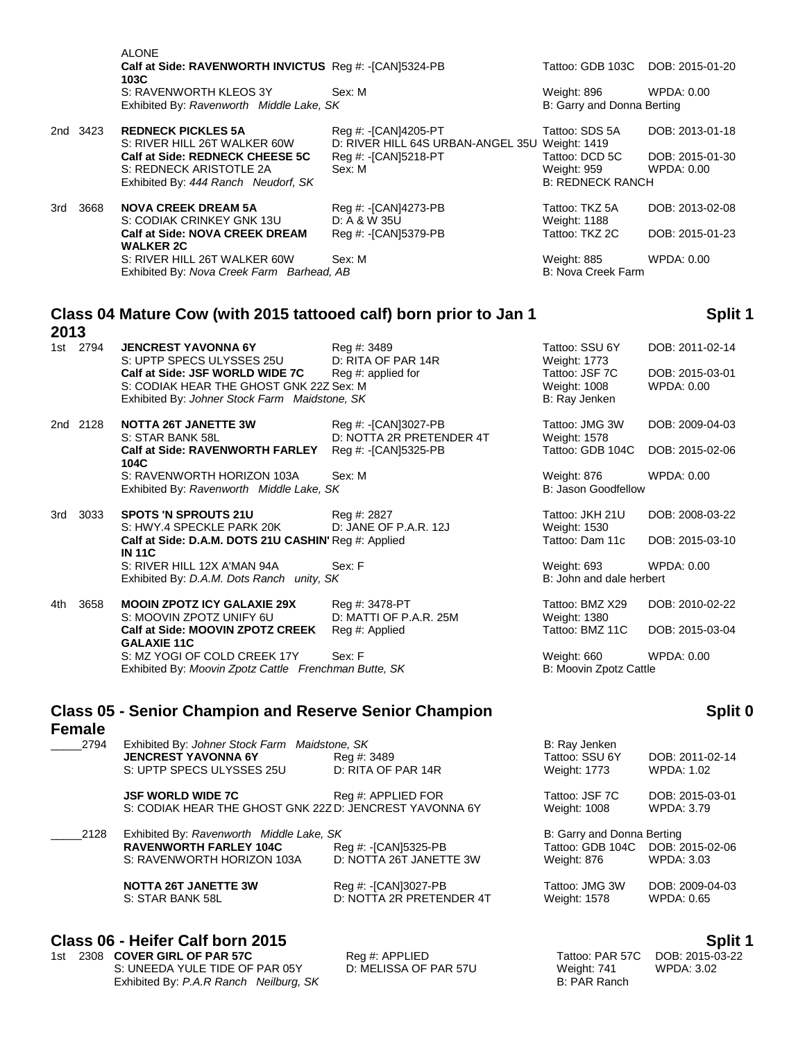|     |          | <b>ALONE</b><br>Calf at Side: RAVENWORTH INVICTUS Req #: -[CAN]5324-PB<br>103C |                                                                        | Tattoo: GDB 103C DOB: 2015-01-20                         |                               |
|-----|----------|--------------------------------------------------------------------------------|------------------------------------------------------------------------|----------------------------------------------------------|-------------------------------|
|     |          | S: RAVENWORTH KLEOS 3Y<br>Exhibited By: Ravenworth Middle Lake, SK             | Sex: M                                                                 | Weight: 896<br>B: Garry and Donna Berting                | WPDA: 0.00                    |
|     | 2nd 3423 | <b>REDNECK PICKLES 5A</b><br>S: RIVER HILL 26T WALKER 60W                      | Reg #: -[CAN]4205-PT<br>D: RIVER HILL 64S URBAN-ANGEL 35U Weight: 1419 | Tattoo: SDS 5A                                           | DOB: 2013-01-18               |
|     |          | Calf at Side: REDNECK CHEESE 5C<br>S: REDNECK ARISTOTLE 2A                     | Reg #: -[CAN]5218-PT<br>Sex: M                                         | Tattoo: DCD 5C<br>Weight: 959<br><b>B: REDNECK RANCH</b> | DOB: 2015-01-30<br>WPDA: 0.00 |
|     |          | Exhibited By: 444 Ranch Neudorf, SK                                            |                                                                        |                                                          |                               |
| 3rd | 3668     | <b>NOVA CREEK DREAM 5A</b><br>S: CODIAK CRINKEY GNK 13U                        | Reg #: -[CAN]4273-PB<br>$D: A & W$ 35U                                 | Tattoo: TKZ 5A<br>Weight: 1188                           | DOB: 2013-02-08               |
|     |          | <b>Calf at Side: NOVA CREEK DREAM</b><br><b>WALKER 2C</b>                      | Reg #: -[CAN]5379-PB                                                   | Tattoo: TKZ 2C                                           | DOB: 2015-01-23               |
|     |          | S: RIVER HILL 26T WALKER 60W<br>Exhibited By: Nova Creek Farm Barhead, AB      | Sex: M                                                                 | Weight: 885<br>B: Nova Creek Farm                        | WPDA: 0.00                    |
|     |          |                                                                                |                                                                        |                                                          |                               |

# **Class 04 Mature Cow (with 2015 tattooed calf) born prior to Jan 1**

**2013**<br>1st 2794 **JENCREST YAVONNA 6Y** Reg #: 3489 Tattoo: SSU 6Y DOB: 2011-02-14 S: UPTP SPECS ULYSSES 25U D: RITA OF PAR 14R Weight: 1773 **Calf at Side: JSF WORLD WIDE 7C** Reg #: applied for Tattoo: JSF 7C DOB: 2015-03-01 S: CODIAK HEAR THE GHOST GNK 22Z Sex: M WEIGHT MUSIC CODIAK HEAR THE GHOST GNK 22Z Sex: M Exhibited By: *Johner Stock Farm Maidstone, SK* B: Ray Jenken

2nd 2128 **NOTTA 26T JANETTE 3W** Reg #: -[CAN]3027-PB Tattoo: JMG 3W DOB: 2009-04-03 S: STAR BANK 58L D: NOTTA 2R PRETENDER 4T Weight: 1578 **Calf at Side: RAVENWORTH FARLEY 104C** S: RAVENWORTH HORIZON 103A Sex: M Weight: 876 WPDA: 0.00 Exhibited By: *Ravenworth Middle Lake, SK* B: Jason Goodfellow

3rd 3033 **SPOTS 'N SPROUTS 21U** Reg #: 2827 **Tattoo: JKH 21U DOB: 2008-03-22**<br>S: HWY 4 SPECKLE PARK 20K D: JANE OF P.A.R. 12J Weight: 1530 S: HWY.4 SPECKLE PARK 20K Calf at Side: D.A.M. DOTS 21U CASHIN' Reg #: Applied **IN 11C** S: RIVER HILL 12X A'MAN 94A Sex: F Weight: 693 WPDA: 0.00 Exhibited By: *D.A.M. Dots Ranch unity, SK* B: John and dale herbert

4th 3658 **MOOIN ZPOTZ ICY GALAXIE 29X** Reg #: 3478-PT Tattoo: BMZ X29 DOB: 2010-02-22 S: MOOVIN ZPOTZ UNIFY 6U D: MATTI OF P.A.R. 25M Weight: 1380 **Calf at Side: MOOVIN ZPOTZ CREEK GALAXIE 11C** S: MZ YOGI OF COLD CREEK 17Y Sex: F Weight: 660 WPDA: 0.00 Exhibited By: *Moovin Zpotz Cattle Frenchman Butte, SK* B: Moovin Zpotz Cattle

## **Class 05 - Senior Champion and Reserve Senior Champion Female**

| 2794 | Exhibited By: Johner Stock Farm Maidstone, SK |                    |
|------|-----------------------------------------------|--------------------|
|      | <b>JENCREST YAVONNA 6Y</b>                    | Rea #: 3489        |
|      | S: UPTP SPECS ULYSSES 25U                     | D: RITA OF PAR 14R |

| 2128 | Exhibited By: Ravenworth Middle Lake, SK<br><b>RAVENWORTH FARLEY 104C</b> | Reg #: -[CAN]5325-PB                |
|------|---------------------------------------------------------------------------|-------------------------------------|
|      | S: RAVENWORTH HORIZON 103A                                                | D: NOTTA 26T JANETTE 3W             |
|      | MOTTA SET IAMETTE SIM                                                     | $D_{\alpha\alpha}$ 4. IO ANDO 22 DD |

### **Class 06 - Heifer Calf born 2015 Split 1**

1st 2308 **COVER GIRL OF PAR 57C** Reg #: APPLIED Tattoo: PAR 57C DOB: 2015-03-22<br>S: UNEEDA YULE TIDE OF PAR 05Y D: MELISSA OF PAR 57U Weight: 741 WPDA: 3.02 S: UNEEDA YULE TIDE OF PAR 05Y Exhibited By: *P.A.R Ranch Neilburg, SK* B: PAR Ranch

# **Split 1**

Reg #: -[CAN]5325-PB Tattoo: GDB 104C DOB: 2015-02-06 Tattoo: Dam 11c DOB: 2015-03-10 Reg #: Applied Tattoo: BMZ 11C DOB: 2015-03-04

# **Split 0**

|      | <b>JENCREST YAVONNA 6Y</b><br>S: UPTP SPECS ULYSSES 25U | Reg #: 3489<br>D: RITA OF PAR 14R | Tattoo: SSU 6Y<br><b>Weight: 1773</b> | DOB: 2011-02-14<br>WPDA: 1.02 |
|------|---------------------------------------------------------|-----------------------------------|---------------------------------------|-------------------------------|
|      |                                                         |                                   |                                       |                               |
|      | <b>JSF WORLD WIDE 7C</b>                                | Reg #: APPLIED FOR                | Tattoo: JSF 7C                        | DOB: 2015-03-01               |
|      | S: CODIAK HEAR THE GHOST GNK 22ZD: JENCREST YAVONNA 6Y  |                                   | <b>Weight: 1008</b>                   | WPDA: 3.79                    |
| 2128 | Exhibited By: Ravenworth Middle Lake, SK                |                                   | B: Garry and Donna Berting            |                               |
|      | <b>RAVENWORTH FARLEY 104C</b>                           | Reg #: -[CAN]5325-PB              | Tattoo: GDB 104C                      | DOB: 2015-02-06               |
|      | S: RAVENWORTH HORIZON 103A                              | D: NOTTA 26T JANETTE 3W           | Weight: 876                           | WPDA: 3.03                    |
|      | <b>NOTTA 26T JANETTE 3W</b>                             | Reg #: -[CAN]3027-PB              | Tattoo: JMG 3W                        | DOB: 2009-04-03               |
|      | S: STAR BANK 58L                                        | D: NOTTA 2R PRETENDER 4T          | <b>Weight: 1578</b>                   | WPDA: 0.65                    |

\_\_\_\_\_2794 Exhibited By: *Johner Stock Farm Maidstone, SK* B: Ray Jenken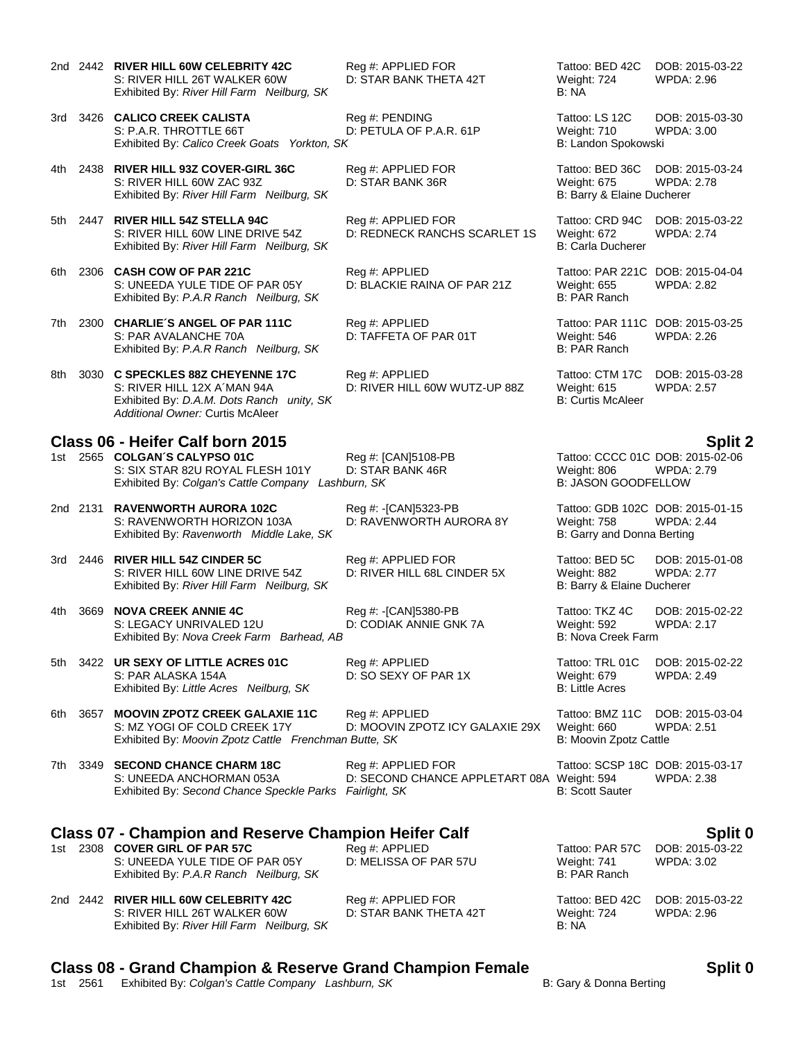- 2nd 2442 **RIVER HILL 60W CELEBRITY 42C** Reg #: APPLIED FOR Tattoo: BED 42C DOB: 2015-03-22 S: RIVER HILL 26T WALKER 60W D: STAR BANK THETA 42T Weight: 724 WPDA: 2.96<br>Exhibited By: *River Hill Farm Neilburg. SK* B: NA B: NA Exhibited By: River Hill Farm Neilburg, SK
- 3rd 3426 **CALICO CREEK CALISTA** Reg #: PENDING Tattoo: LS 12C DOB: 2015-03-30 S: P.A.R. THROTTLE 66T D: PETULA OF P.A.R. 61P Weight: 710 WPDA: 3.00 Exhibited By: *Calico Creek Goats Yorkton, SK* B: Landon Spokowski
- 4th 2438 **RIVER HILL 93Z COVER-GIRL 36C** Reg #: APPLIED FOR Tattoo: BED 36C DOB: 2015-03-24 S: RIVER HILL 60W ZAC 93Z D: STAR BANK 36R Weight: 675 WPDA: 2.78 Exhibited By: *River Hill Farm Neilburg, SK* B: Barry & Elaine Ducherer
- 5th 2447 **RIVER HILL 54Z STELLA 94C** Reg #: APPLIED FOR Tattoo: CRD 94C DOB: 2015-03-22 Exhibited By: *River Hill Farm Neilburg, SK* B: Carla Ducherer
- 6th 2306 **CASH COW OF PAR 221C** Reg #: APPLIED Tattoo: PAR 221C DOB: 2015-04-04 S: UNEEDA YULE TIDE OF PAR 05Y D: BLACKIE RAINA OF PAR 21Z Weight: 655 WPDA: 2.82 Exhibited By: *P.A.R Ranch Neilburg, SK* B: PAR Ranch
- 7th 2300 **CHARLIE´S ANGEL OF PAR 111C** Reg #: APPLIED Tattoo: PAR 111C DOB: 2015-03-25 S: PAR AVALANCHE 70A D: TAFFETA OF PAR 01T Weight: 546 WPDA: 2.26<br>
Exhibited By: *P.A.R Ranch Neilburg, SK* D: TAFFETA OF PAR 01T B: PAR Ranch Exhibited By: P.A.R Ranch Neilburg, SK
- 8th 3030 **C SPECKLES 88Z CHEYENNE 17C** Reg #: APPLIED Tattoo: CTM 17C DOB: 2015-03-28 S: RIVER HILL 12X A´MAN 94A D: RIVER HILL 60W WUTZ-UP 88Z Weight: 615 WPDA: 2.57 Exhibited By: *D.A.M. Dots Ranch unity, SK* B: Curtis McAleer *Additional Owner:* Curtis McAleer

### **Class 06 - Heifer Calf born 2015 Split 2**

- 1st 2565 **COLGAN´S CALYPSO 01C** Reg #: [CAN]5108-PB Tattoo: CCCC 01C DOB: 2015-02-06 S: SIX STAR 82U ROYAL FLESH 101Y D: STAR BANK 46R Weight: 806 WPDA: 2.79<br>
Exhibited By: Colgan's Cattle Company Lashburn. SK B: JASON GOODFELLOW Exhibited By: Colgan's Cattle Company Lashburn, SK
- 2nd 2131 **RAVENWORTH AURORA 102C** Reg #: -[CAN]5323-PB Tattoo: GDB 102C DOB: 2015-01-15 S: RAVENWORTH HORIZON 103A D: RAVENWORTH AURORA 8Y Weight: 758 Exhibited By: *Ravenworth Middle Lake, SK* B: Garry and Donna Berting
- 3rd 2446 **RIVER HILL 54Z CINDER 5C** Reg #: APPLIED FOR Tattoo: BED 5C DOB: 2015-01-08 S: RIVER HILL 60W LINE DRIVE 54Z D: RIVER HILL 68L CINDER 5X Weight: 882 WPDA: 2.77 Exhibited By: *River Hill Farm Neilburg, SK* B: Barry & Elaine Ducherer
- 4th 3669 **NOVA CREEK ANNIE 4C** Reg #: -[CAN]5380-PB Tattoo: TKZ 4C DOB: 2015-02-22 S: LEGACY UNRIVALED 12U D: CODIAK ANNIE GNK 7A Weight: 592 WPDA: 2.17 Exhibited By: *Nova Creek Farm Barhead, AB* B: Nova Creek Farm Barhead, AB
- 5th 3422 **UR SEXY OF LITTLE ACRES 01C** Reg #: APPLIED Tattoo: TRL 01C DOB: 2015-02-22 S: PAR ALASKA 154A D: SO SEXY OF PAR 1X Weight: 679 WPDA: 2.49 Exhibited By: Little Acres Neilburg, SK
- 6th 3657 **MOOVIN ZPOTZ CREEK GALAXIE 11C** Reg #: APPLIED Tattoo: BMZ 11C DOB: 2015-03-04 S: MZ YOGI OF COLD CREEK 17Y D: MOOVIN ZPOTZ ICY GALAXIE 29X Weight: 660 WPDA: 2.51 Exhibited By: *Moovin Zpotz Cattle Frenchman Butte, SK* B: Moovin Zpotz Cattle

7th 3349 **SECOND CHANCE CHARM 18C** Reg #: APPLIED FOR Tattoo: SCSP 18C DOB: 2015-03-17 S: UNEEDA ANCHORMAN 053A D: SECOND CHANCE APPLETART 08A Weight: 594 WPDA: 2.38 Exhibited By: *Second Chance Speckle Parks Fairlight, SK* B: Scott Sauter

### **Class 07 - Champion and Reserve Champion Heifer Calf Split 0 Split 0 Split 0 Split 0**

|  | 1st 2308 COVER GIRL OF PAR 57C         | Reg #: APPLIED        |              | Tattoo: PAR 57C DOB: 2015-03-22 |
|--|----------------------------------------|-----------------------|--------------|---------------------------------|
|  | S: UNEEDA YULE TIDE OF PAR 05Y         | D: MELISSA OF PAR 57U | Weight: 741  | WPDA: 3.02                      |
|  | Exhibited By: P.A.R Ranch Neilburg, SK |                       | B: PAR Ranch |                                 |

### 2nd 2442 **RIVER HILL 60W CELEBRITY 42C** Reg #: APPLIED FOR Tattoo: BED 42C DOB: 2015-03-22 S: RIVER HILL 26T WALKER 60W D: STAR BANK THETA 42T Weight: 724 WPDA: 2.96 Exhibited By: *River Hill Farm Neilburg, SK* B: NA

# **Class 08 - Grand Champion & Reserve Grand Champion Female Split 0**

1st 2561 Exhibited By: *Colgan's Cattle Company Lashburn, SK* B: Gary & Donna Berting

D: REDNECK RANCHS SCARLET 1S Weight: 672 WPDA: 2.74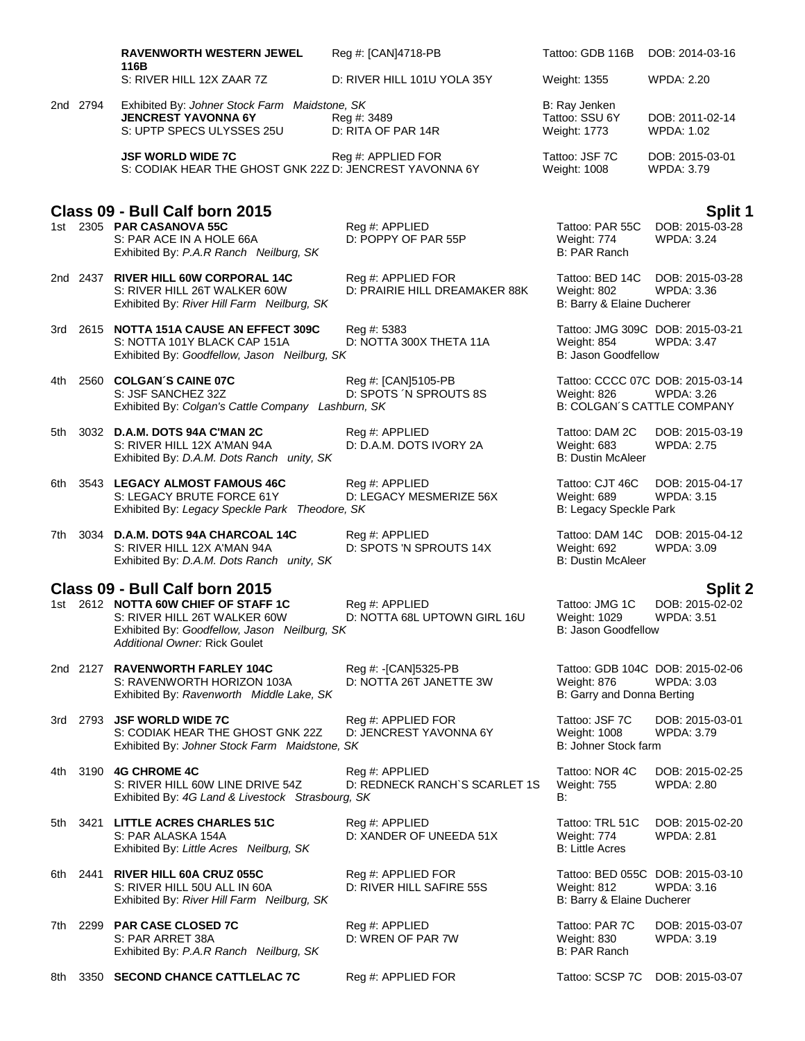|     |          | <b>RAVENWORTH WESTERN JEWEL</b>                                                                                                                   | Reg #: [CAN]4718-PB                                 | Tattoo: GDB 116B                                             | DOB: 2014-03-16                                                                            |
|-----|----------|---------------------------------------------------------------------------------------------------------------------------------------------------|-----------------------------------------------------|--------------------------------------------------------------|--------------------------------------------------------------------------------------------|
|     |          | 116B<br>S: RIVER HILL 12X ZAAR 7Z                                                                                                                 | D: RIVER HILL 101U YOLA 35Y                         | Weight: 1355                                                 | <b>WPDA: 2.20</b>                                                                          |
|     | 2nd 2794 | Exhibited By: Johner Stock Farm Maidstone, SK<br><b>JENCREST YAVONNA 6Y</b><br>S: UPTP SPECS ULYSSES 25U                                          | Reg #: 3489<br>D: RITA OF PAR 14R                   | B: Ray Jenken<br>Tattoo: SSU 6Y<br>Weight: 1773              | DOB: 2011-02-14<br><b>WPDA: 1.02</b>                                                       |
|     |          | <b>JSF WORLD WIDE 7C</b><br>S: CODIAK HEAR THE GHOST GNK 22Z D: JENCREST YAVONNA 6Y                                                               | Reg #: APPLIED FOR                                  | Tattoo: JSF 7C<br>Weight: 1008                               | DOB: 2015-03-01<br>WPDA: 3.79                                                              |
|     |          |                                                                                                                                                   |                                                     |                                                              |                                                                                            |
|     |          | Class 09 - Bull Calf born 2015<br>1st 2305 PAR CASANOVA 55C<br>S: PAR ACE IN A HOLE 66A<br>Exhibited By: P.A.R Ranch Neilburg, SK                 | Reg #: APPLIED<br>D: POPPY OF PAR 55P               | Tattoo: PAR 55C<br>Weight: 774<br>B: PAR Ranch               | <b>Split 1</b><br>DOB: 2015-03-28<br><b>WPDA: 3.24</b>                                     |
|     |          | 2nd 2437 RIVER HILL 60W CORPORAL 14C<br>S: RIVER HILL 26T WALKER 60W<br>Exhibited By: River Hill Farm Neilburg, SK                                | Reg #: APPLIED FOR<br>D: PRAIRIE HILL DREAMAKER 88K | Tattoo: BED 14C<br>Weight: 802<br>B: Barry & Elaine Ducherer | DOB: 2015-03-28<br><b>WPDA: 3.36</b>                                                       |
|     |          | 3rd 2615 NOTTA 151A CAUSE AN EFFECT 309C<br>S: NOTTA 101Y BLACK CAP 151A<br>Exhibited By: Goodfellow, Jason Neilburg, SK                          | Reg #: 5383<br>D: NOTTA 300X THETA 11A              | Weight: 854<br>B: Jason Goodfellow                           | Tattoo: JMG 309C DOB: 2015-03-21<br><b>WPDA: 3.47</b>                                      |
| 4th |          | 2560 COLGAN'S CAINE 07C<br>S: JSF SANCHEZ 32Z<br>Exhibited By: Colgan's Cattle Company Lashburn, SK                                               | Reg #: [CAN]5105-PB<br>D: SPOTS 'N SPROUTS 8S       | Weight: 826                                                  | Tattoo: CCCC 07C DOB: 2015-03-14<br><b>WPDA: 3.26</b><br><b>B: COLGAN'S CATTLE COMPANY</b> |
| 5th |          | 3032 D.A.M. DOTS 94A C'MAN 2C<br>S: RIVER HILL 12X A'MAN 94A<br>Exhibited By: D.A.M. Dots Ranch unity, SK                                         | Reg #: APPLIED<br>D: D.A.M. DOTS IVORY 2A           | Tattoo: DAM 2C<br>Weight: 683<br><b>B: Dustin McAleer</b>    | DOB: 2015-03-19<br><b>WPDA: 2.75</b>                                                       |
|     |          | 6th 3543 LEGACY ALMOST FAMOUS 46C<br>S: LEGACY BRUTE FORCE 61Y<br>Exhibited By: Legacy Speckle Park Theodore, SK                                  | Reg #: APPLIED<br>D: LEGACY MESMERIZE 56X           | Tattoo: CJT 46C<br>Weight: 689<br>B: Legacy Speckle Park     | DOB: 2015-04-17<br>WPDA: 3.15                                                              |
| 7th |          | 3034 D.A.M. DOTS 94A CHARCOAL 14C<br>S: RIVER HILL 12X A'MAN 94A<br>Exhibited By: D.A.M. Dots Ranch unity, SK                                     | Reg #: APPLIED<br>D: SPOTS 'N SPROUTS 14X           | Tattoo: DAM 14C<br>Weight: 692<br><b>B: Dustin McAleer</b>   | DOB: 2015-04-12<br>WPDA: 3.09                                                              |
|     |          | Class 09 - Bull Calf born 2015                                                                                                                    |                                                     |                                                              | <b>Split 2</b>                                                                             |
| 1st |          | 2612 NOTTA 60W CHIEF OF STAFF 1C<br>S: RIVER HILL 26T WALKER 60W<br>Exhibited By: Goodfellow, Jason Neilburg, SK<br>Additional Owner: Rick Goulet | Reg #: APPLIED<br>D: NOTTA 68L UPTOWN GIRL 16U      | Tattoo: JMG 1C<br>Weight: 1029<br>B: Jason Goodfellow        | DOB: 2015-02-02<br><b>WPDA: 3.51</b>                                                       |
|     |          | 2nd 2127 RAVENWORTH FARLEY 104C<br>S: RAVENWORTH HORIZON 103A<br>Exhibited By: Ravenworth Middle Lake, SK                                         | Reg #: -[CAN]5325-PB<br>D: NOTTA 26T JANETTE 3W     | Weight: 876<br>B: Garry and Donna Berting                    | Tattoo: GDB 104C DOB: 2015-02-06<br>WPDA: 3.03                                             |
|     |          | 3rd 2793 JSF WORLD WIDE 7C<br>S: CODIAK HEAR THE GHOST GNK 22Z<br>Exhibited By: Johner Stock Farm Maidstone, SK                                   | Reg #: APPLIED FOR<br>D: JENCREST YAVONNA 6Y        | Tattoo: JSF 7C<br>Weight: 1008<br>B: Johner Stock farm       | DOB: 2015-03-01<br>WPDA: 3.79                                                              |
|     |          | 4th 3190 4G CHROME 4C<br>S: RIVER HILL 60W LINE DRIVE 54Z<br>Exhibited By: 4G Land & Livestock Strasbourg, SK                                     | Reg #: APPLIED<br>D: REDNECK RANCH'S SCARLET 1S     | Tattoo: NOR 4C<br>Weight: 755<br>B:                          | DOB: 2015-02-25<br><b>WPDA: 2.80</b>                                                       |
|     |          | 5th 3421 LITTLE ACRES CHARLES 51C<br>S: PAR ALASKA 154A<br>Exhibited By: Little Acres Neilburg, SK                                                | Reg #: APPLIED<br>D: XANDER OF UNEEDA 51X           | Tattoo: TRL 51C<br>Weight: 774<br><b>B: Little Acres</b>     | DOB: 2015-02-20<br><b>WPDA: 2.81</b>                                                       |
|     |          | 6th 2441 RIVER HILL 60A CRUZ 055C<br>S: RIVER HILL 50U ALL IN 60A<br>Exhibited By: River Hill Farm Neilburg, SK                                   | Reg #: APPLIED FOR<br>D: RIVER HILL SAFIRE 55S      | Weight: 812<br>B: Barry & Elaine Ducherer                    | Tattoo: BED 055C DOB: 2015-03-10<br>WPDA: 3.16                                             |
| 7th |          | 2299 PAR CASE CLOSED 7C<br>S: PAR ARRET 38A<br>Exhibited By: P.A.R Ranch Neilburg, SK                                                             | Reg #: APPLIED<br>D: WREN OF PAR 7W                 | Tattoo: PAR 7C<br>Weight: 830<br>B: PAR Ranch                | DOB: 2015-03-07<br>WPDA: 3.19                                                              |
| 8th |          | 3350 SECOND CHANCE CATTLELAC 7C                                                                                                                   | Reg #: APPLIED FOR                                  | Tattoo: SCSP 7C                                              | DOB: 2015-03-07                                                                            |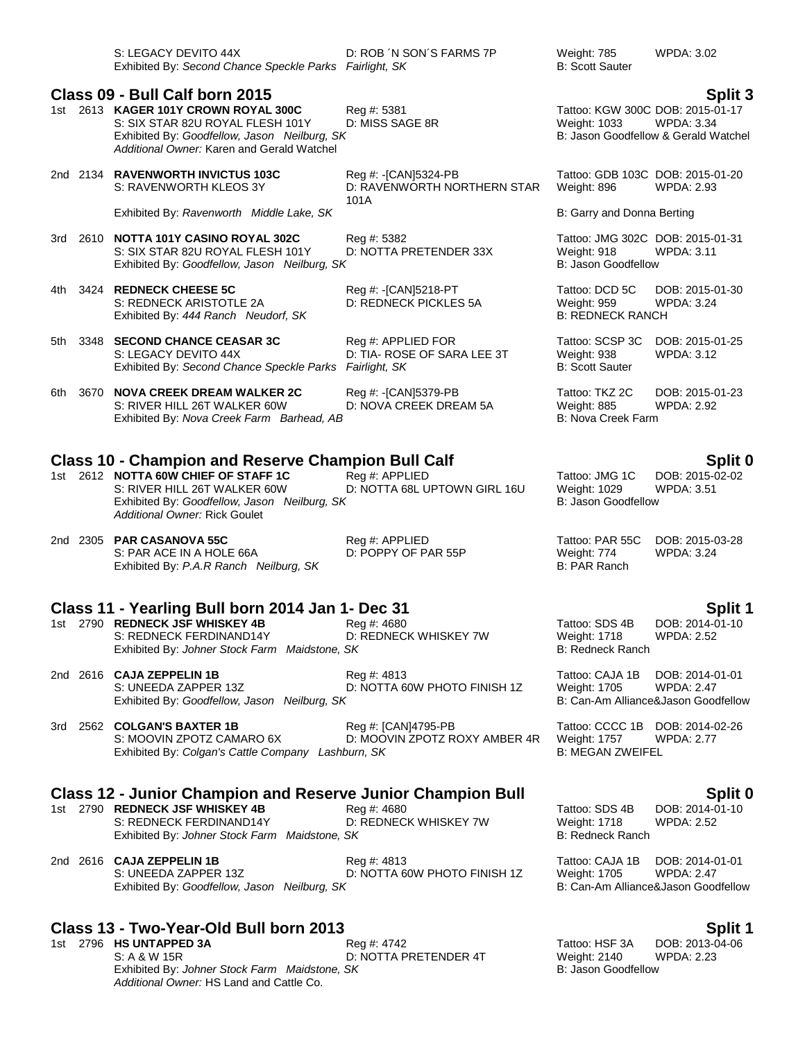| S: LEGACY DEVITO 44X                                    | D: ROB ´N SON´S FARMS 7P | Weight: 785     | WPDA: 3.02 |
|---------------------------------------------------------|--------------------------|-----------------|------------|
| Exhibited By: Second Chance Speckle Parks Fairlight, SK |                          | B: Scott Sauter |            |

### **Class 09 - Bull Calf born 2015 Split 3**

- 1st 2613 **KAGER 101Y CROWN ROYAL 300C** Reg #: 5381 Tattoo: KGW 300C DOB: 2015-01-17 S: SIX STAR 82U ROYAL FLESH 101Y D: MISS SAGE 8R Weight: 1033 WPDA: 3.34<br>
Exhibited By: Goodfellow. Jason Neilburg. SK B: Jason Goodfellow & Gerald Watchel Exhibited By: Goodfellow, Jason Neilburg, SK *Additional Owner:* Karen and Gerald Watchel
- 2nd 2134 **RAVENWORTH INVICTUS 103C** Reg #: -[CAN]5324-PB Tattoo: GDB 103C DOB: 2015-01-20 D: RAVENWORTH NORTHERN STAR 101A

Exhibited By: *Ravenworth Middle Lake, SK* B: Garry and Donna Berting

- 3rd 2610 **NOTTA 101Y CASINO ROYAL 302C** Reg #: 5382 Tattoo: JMG 302C DOB: 2015-01-31 S: SIX STAR 82U ROYAL FLESH 101Y D: NOTTA PRETENDER 33X Weight: 918 Weight: 918<br>Exhibited By: Goodfellow. Jason Neilburg. SK Exhibited By: Goodfellow, Jason Neilburg, SK
- 4th 3424 **REDNECK CHEESE 5C** Reg #: -[CAN]5218-PT Tattoo: DCD 5C DOB: 2015-01-30<br>S: REDNECK ARISTOTLE 2A D: REDNECK PICKLES 5A Weight: 959 WPDA: 3.24 S: REDNECK ARISTOTLE 2A Exhibited By: 444 Ranch Neudorf, SK B: REDNECK RANCH

- 5th 3348 **SECOND CHANCE CEASAR 3C** Reg #: APPLIED FOR Tattoo: SCSP 3C DOB: 2015-01-25 S: LEGACY DEVITO 44X D: TIA- ROSE OF SARA LEE 3T Weight: 938 WPDA: 3.12 Exhibited By: *Second Chance Speckle Parks Fairlight, SK* B: Scott Sauter
- 6th 3670 **NOVA CREEK DREAM WALKER 2C** Reg #: -[CAN]5379-PB Tattoo: TKZ 2C DOB: 2015-01-23 S: RIVER HILL 26T WALKER 60W D: NOVA CREEK DREAM 5A Weight: 885 WPDA: 2.92 Exhibited By: *Nova Creek Farm Barhead, AB* B: Nova Creek Farm B: Nova Creek Farm

# **Class 10 - Champion and Reserve Champion Bull Calf Split 0**

- 1st 2612 **NOTTA 60W CHIEF OF STAFF 1C** Reg #: APPLIED Tattoo: JMG 1C DOB: 2015-02-02 S: RIVER HILL 26T WALKER 60W D: NOTTA 68L UPTOWN GIRL 16U Weight: 1029 WPDA: 3.51<br>Exhibited By: Goodfellow. Jason Neilburg, SK B: Jason Goodfellow Exhibited By: Goodfellow, Jason Neilburg, SK *Additional Owner:* Rick Goulet
- 2nd 2305 **PAR CASANOVA 55C** Reg #: APPLIED Tattoo: PAR 55C DOB: 2015-03-28 S: PAR ACE IN A HOLE 66A D: POPPY OF PAR 55P Weight: 774<br>Exhibited By: *P.A.R Ranch Neilburg, SK* D: 2012 Exhibited By: P.A.R Ranch Neilburg, SK

### **Class 11 - Yearling Bull born 2014 Jan 1- Dec 31 Split 1**

- 1st 2790 **REDNECK JSF WHISKEY 4B** Reg #: 4680 Reg #: 4680 Tattoo: SDS 4B DOB: 2014-01-10<br>S: REDNECK FERDINAND14Y D: REDNECK WHISKEY 7W Weight: 1718 WPDA: 2.52 S: REDNECK FERDINAND14Y D: REDNECK WHISKEY 7W Weight: 1718 Exhibited By: *Johner Stock Farm Maidstone, SK* B: Redneck Ranch
- 2nd 2616 **CAJA ZEPPELIN 1B**<br>2nd 2616 **CAJA 2EPPELIN 1B** Reg #: 4813 Reg #: 4813 Tattoo: CAJA 1B DOB: 2014-01-01<br>2.47 D: NOTTA 60W PHOTO FINISH 1Z Weight: 1705 WPDA: 2.47 Exhibited By: *Goodfellow, Jason Neilburg, SK* B: Can-Am Alliance&Jason Goodfellow
- 3rd 2562 **COLGAN'S BAXTER 1B** Reg #: [CAN]4795-PB Tattoo: CCCC 1B DOB: 2014-02-26 S: MOOVIN ZPOTZ CAMARO 6X D: MOOVIN ZPOTZ ROXY AMBER 4R Weight: 1757 WPDA: 2.77 Exhibited By: *Colgan's Cattle Company Lashburn, SK* B: MEGAN ZWEIFEL

### **Class 12 - Junior Champion and Reserve Junior Champion Bull Split 0**

- 1st 2790 **REDNECK JSF WHISKEY 4B** Reg #: 4680 Reg #: 4680 Tattoo: SDS 4B DOB: 2014-01-10<br>S: REDNECK FERDINAND14Y D: REDNECK WHISKEY 7W Weight: 1718 WPDA: 2.52 S: REDNECK FERDINAND14Y Exhibited By: *Johner Stock Farm Maidstone, SK* B: Redneck Ranch
- 2nd 2616 **CAJA ZEPPELIN 1B** Reg #: 4813 Reg #: 4813 Tattoo: CAJA 1B DOB: 2014-01-01<br>S: UNEEDA ZAPPER 13Z D: NOTTA 60W PHOTO FINISH 1Z Weight: 1705 WPDA: 2.47 Exhibited By: Goodfellow, Jason Neilburg, SK

## **Class 13 - Two-Year-Old Bull born 2013 Split 1**

1st 2796 **HS UNTAPPED 3A** Reg #: 4742 Tattoo: HSF 3A DOB: 2013-04-06 S: A & W 15R D: NOTTA PRETENDER 4T Weight: 2140 WPDA: 2.23 Exhibited By: *Johner Stock Farm Maidstone, SK* B: Jason Goodfellow *Additional Owner:* HS Land and Cattle Co.

# **B: Scott Sauter**

WPDA: 2.93

D: NOTTA 60W PHOTO FINISH 1Z Weight: 1705 WPDA: 2.47

D: NOTTA 60W PHOTO FINISH 1Z Weight: 1705 WPDA: 2.47<br>C: Can-Am Alliance&Jason Goodfellow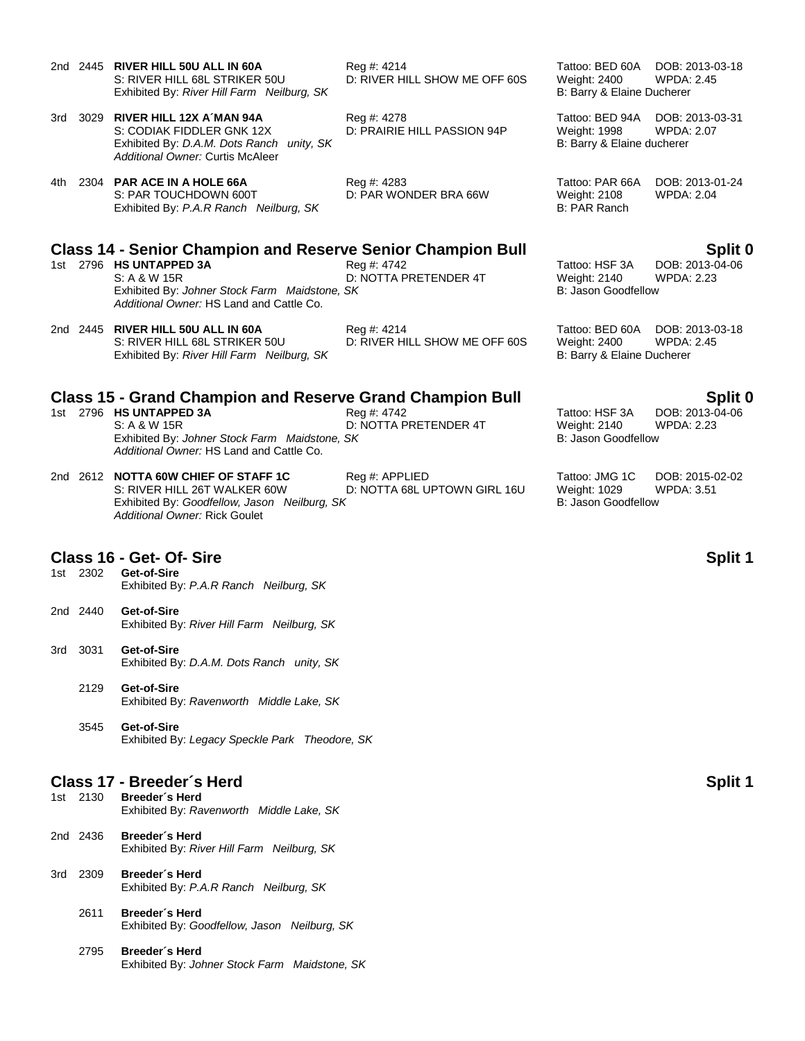- 2nd 2445 **RIVER HILL 50U ALL IN 60A** Reg #: 4214 Tattoo: BED 60A DOB: 2013-03-18 S: RIVER HILL 68L STRIKER 50U D: RIVER HILL SHOW ME OFF 60S Weight: 2400 WPDA: 2.45 Exhibited By: *River Hill Farm Neilburg, SK* B: Barry & Elaine Ducherer
- 3rd 3029 **RIVER HILL 12X A´MAN 94A** Reg #: 4278 Tattoo: BED 94A DOB: 2013-03-31 S: CODIAK FIDDLER GNK 12X D: PRAIRIE HILL PASSION 94P Weight: 1998 WPDA: 2.07 Exhibited By: *D.A.M. Dots Ranch unity, SK* B: Barry & Elaine ducherer *Additional Owner:* Curtis McAleer
- 4th 2304 **PAR ACE IN A HOLE 66A** Reg #: 4283 Tattoo: PAR 66A DOB: 2013-01-24 S: PAR TOUCHDOWN 600T **D: PAR WONDER BRA 66W** Weight: 2108 WPDA: 2.04 Exhibited By: *P.A.R Ranch Neilburg, SK* B: PAR Ranch

### **Class 14 - Senior Champion and Reserve Senior Champion Bull Split 0**

- 1st 2796 **HS UNTAPPED 3A** Reg #: 4742 Tattoo: HSF 3A DOB: 2013-04-06 S: A & W 15R D: NOTTA PRETENDER 4T Weight: 2140 WPDA: 2.23 Exhibited By: *Johner Stock Farm Maidstone, SK* B: Jason Goodfellow *Additional Owner:* HS Land and Cattle Co.
- 2nd 2445 **RIVER HILL 50U ALL IN 60A** Reg #: 4214 Tattoo: BED 60A DOB: 2013-03-18 Exhibited By: River Hill Farm Neilburg, SK

### **Class 15 - Grand Champion and Reserve Grand Champion Bull Split 0**

- 1st 2796 **HS UNTAPPED 3A** Reg #: 4742 Tattoo: HSF 3A DOB: 2013-04-06 S: A & W 15R D: NOTTA PRETENDER 4T Weight: 2140 WPDA: 2.23 Exhibited By: *Johner Stock Farm Maidstone, SK* B: Jason Goodfellow *Additional Owner:* HS Land and Cattle Co.
- 2nd 2612 **NOTTA 60W CHIEF OF STAFF 1C** Reg #: APPLIED Tattoo: JMG 1C DOB: 2015-02-02 S: RIVER HILL 26T WALKER 60W D: NOTTA 68L UPTOWN GIRL 16U Weight: 1029 WPDA: 3.51 Exhibited By: *Goodfellow, Jason Neilburg, SK* B: Jason Goodfellow *Additional Owner:* Rick Goulet

# **Class 16 - Get- Of- Sire Split 1**

- Get-of-Sire Exhibited By: *P.A.R Ranch Neilburg, SK*
- 2nd 2440 **Get-of-Sire** Exhibited By: *River Hill Farm Neilburg, SK*
- 3rd 3031 **Get-of-Sire** Exhibited By: *D.A.M. Dots Ranch unity, SK*
	- 2129 **Get-of-Sire** Exhibited By: *Ravenworth Middle Lake, SK*
	- 3545 **Get-of-Sire** Exhibited By: *Legacy Speckle Park Theodore, SK*

### **Class 17 - Breeder´s Herd Split 1**

- 1st 2130 **Breeder´s Herd** Exhibited By: *Ravenworth Middle Lake, SK*
- 2nd 2436 **Breeder´s Herd** Exhibited By: *River Hill Farm Neilburg, SK*
- 3rd 2309 **Breeder´s Herd** Exhibited By: *P.A.R Ranch Neilburg, SK*
	- 2611 **Breeder´s Herd** Exhibited By: *Goodfellow, Jason Neilburg, SK*
	- 2795 **Breeder´s Herd** Exhibited By: *Johner Stock Farm Maidstone, SK*

D: RIVER HILL SHOW ME OFF 60S Weight: 2400 WPDA:<br>B: Barry & Elaine Ducherer